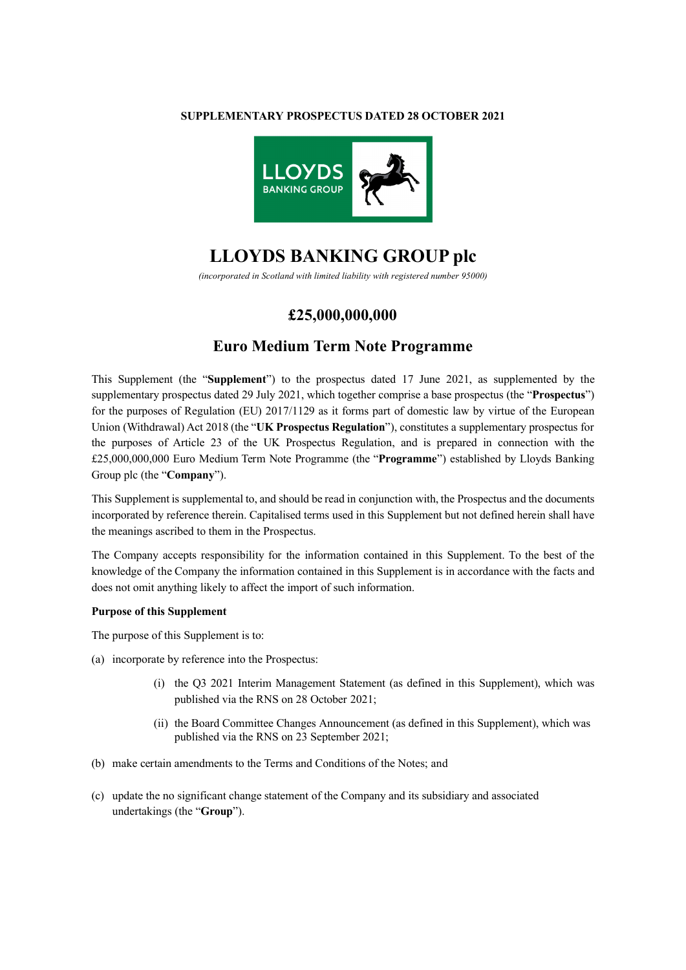#### **SUPPLEMENTARY PROSPECTUS DATED 28 OCTOBER 2021**



# **LLOYDS BANKING GROUP plc**

*(incorporated in Scotland with limited liability with registered number 95000)*

## **£25,000,000,000**

# **Euro Medium Term Note Programme**

This Supplement (the "**Supplement**") to the prospectus dated 17 June 2021, as supplemented by the supplementary prospectus dated 29 July 2021, which together comprise a base prospectus (the "**Prospectus**") for the purposes of Regulation (EU) 2017/1129 as it forms part of domestic law by virtue of the European Union (Withdrawal) Act 2018 (the "**UK Prospectus Regulation**"), constitutes a supplementary prospectus for the purposes of Article 23 of the UK Prospectus Regulation, and is prepared in connection with the £25,000,000,000 Euro Medium Term Note Programme (the "**Programme**") established by Lloyds Banking Group plc (the "**Company**").

This Supplement is supplemental to, and should be read in conjunction with, the Prospectus and the documents incorporated by reference therein. Capitalised terms used in this Supplement but not defined herein shall have the meanings ascribed to them in the Prospectus.

The Company accepts responsibility for the information contained in this Supplement. To the best of the knowledge of the Company the information contained in this Supplement is in accordance with the facts and does not omit anything likely to affect the import of such information.

#### **Purpose of this Supplement**

The purpose of this Supplement is to:

- (a) incorporate by reference into the Prospectus:
	- (i) the Q3 2021 Interim Management Statement (as defined in this Supplement), which was published via the RNS on 28 October 2021;
	- (ii) the Board Committee Changes Announcement (as defined in this Supplement), which was published via the RNS on 23 September 2021;
- (b) make certain amendments to the Terms and Conditions of the Notes; and
- (c) update the no significant change statement of the Company and its subsidiary and associated undertakings (the "**Group**").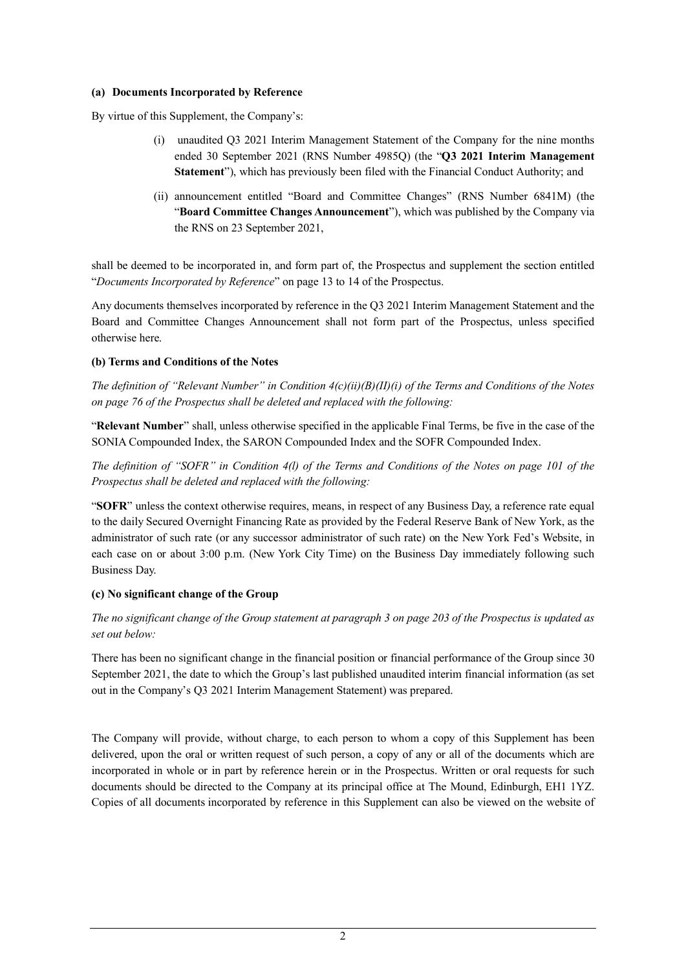#### **(a) Documents Incorporated by Reference**

By virtue of this Supplement, the Company's:

- (i) unaudited Q3 2021 Interim Management Statement of the Company for the nine months ended 30 September 2021 (RNS Number 4985Q) (the "**Q3 2021 Interim Management Statement**"), which has previously been filed with the Financial Conduct Authority; and
- (ii) announcement entitled "Board and Committee Changes" (RNS Number 6841M) (the "**Board Committee Changes Announcement**"), which was published by the Company via the RNS on 23 September 2021,

shall be deemed to be incorporated in, and form part of, the Prospectus and supplement the section entitled "*Documents Incorporated by Reference*" on page 13 to 14 of the Prospectus.

Any documents themselves incorporated by reference in the Q3 2021 Interim Management Statement and the Board and Committee Changes Announcement shall not form part of the Prospectus, unless specified otherwise here.

## **(b) Terms and Conditions of the Notes**

*The definition of "Relevant Number" in Condition 4(c)(ii)(B)(II)(i) of the Terms and Conditions of the Notes on page 76 of the Prospectus shall be deleted and replaced with the following:*

"**Relevant Number**" shall, unless otherwise specified in the applicable Final Terms, be five in the case of the SONIA Compounded Index, the SARON Compounded Index and the SOFR Compounded Index.

*The definition of "SOFR" in Condition 4(l) of the Terms and Conditions of the Notes on page 101 of the Prospectus shall be deleted and replaced with the following:*

"**SOFR**" unless the context otherwise requires, means, in respect of any Business Day, a reference rate equal to the daily Secured Overnight Financing Rate as provided by the Federal Reserve Bank of New York, as the administrator of such rate (or any successor administrator of such rate) on the New York Fed's Website, in each case on or about 3:00 p.m. (New York City Time) on the Business Day immediately following such Business Day.

## **(c) No significant change of the Group**

*The no significant change of the Group statement at paragraph 3 on page 203 of the Prospectus is updated as set out below:*

There has been no significant change in the financial position or financial performance of the Group since 30 September 2021, the date to which the Group's last published unaudited interim financial information (as set out in the Company's Q3 2021 Interim Management Statement) was prepared.

The Company will provide, without charge, to each person to whom a copy of this Supplement has been delivered, upon the oral or written request of such person, a copy of any or all of the documents which are incorporated in whole or in part by reference herein or in the Prospectus. Written or oral requests for such documents should be directed to the Company at its principal office at The Mound, Edinburgh, EH1 1YZ. Copies of all documents incorporated by reference in this Supplement can also be viewed on the website of